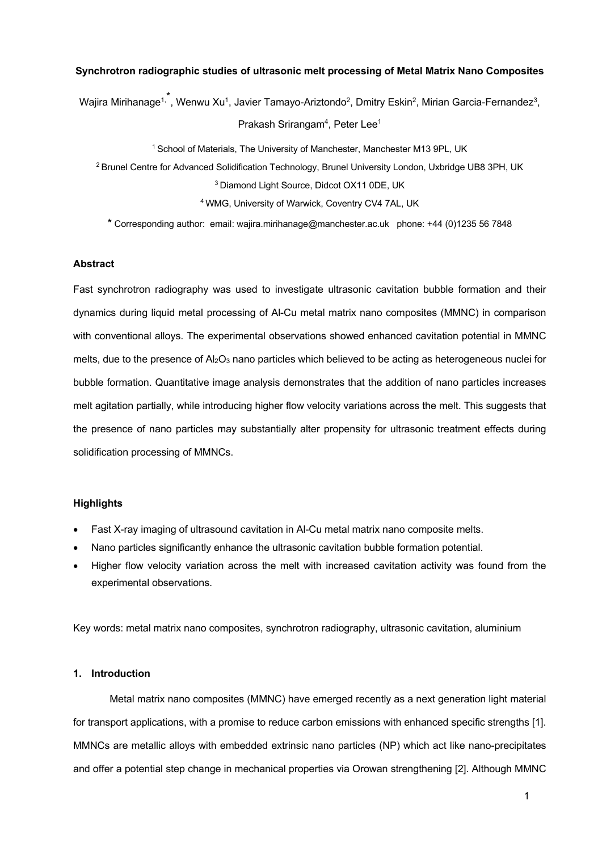# **Synchrotron radiographic studies of ultrasonic melt processing of Metal Matrix Nano Composites**

Wajira Mirihanage<sup>1,\*</sup>, Wenwu Xu<sup>1</sup>, Javier Tamayo-Ariztondo<sup>2</sup>, Dmitry Eskin<sup>2</sup>, Mirian Garcia-Fernandez<sup>3</sup>, Prakash Srirangam<sup>4</sup>, Peter Lee<sup>1</sup>

<sup>1</sup> School of Materials, The University of Manchester, Manchester M13 9PL, UK

<sup>2</sup> Brunel Centre for Advanced Solidification Technology, Brunel University London, Uxbridge UB8 3PH, UK <sup>3</sup> Diamond Light Source, Didcot OX11 0DE, UK

4 WMG, University of Warwick, Coventry CV4 7AL, UK

\* Corresponding author: email: wajira.mirihanage@manchester.ac.uk phone: +44 (0)1235 56 7848

# **Abstract**

Fast synchrotron radiography was used to investigate ultrasonic cavitation bubble formation and their dynamics during liquid metal processing of Al-Cu metal matrix nano composites (MMNC) in comparison with conventional alloys. The experimental observations showed enhanced cavitation potential in MMNC melts, due to the presence of Al<sub>2</sub>O<sub>3</sub> nano particles which believed to be acting as heterogeneous nuclei for bubble formation. Quantitative image analysis demonstrates that the addition of nano particles increases melt agitation partially, while introducing higher flow velocity variations across the melt. This suggests that the presence of nano particles may substantially alter propensity for ultrasonic treatment effects during solidification processing of MMNCs.

# **Highlights**

- Fast X-ray imaging of ultrasound cavitation in Al-Cu metal matrix nano composite melts.
- Nano particles significantly enhance the ultrasonic cavitation bubble formation potential.
- Higher flow velocity variation across the melt with increased cavitation activity was found from the experimental observations.

Key words: metal matrix nano composites, synchrotron radiography, ultrasonic cavitation, aluminium

# **1. Introduction**

Metal matrix nano composites (MMNC) have emerged recently as a next generation light material for transport applications, with a promise to reduce carbon emissions with enhanced specific strengths [1]. MMNCs are metallic alloys with embedded extrinsic nano particles (NP) which act like nano-precipitates and offer a potential step change in mechanical properties via Orowan strengthening [2]. Although MMNC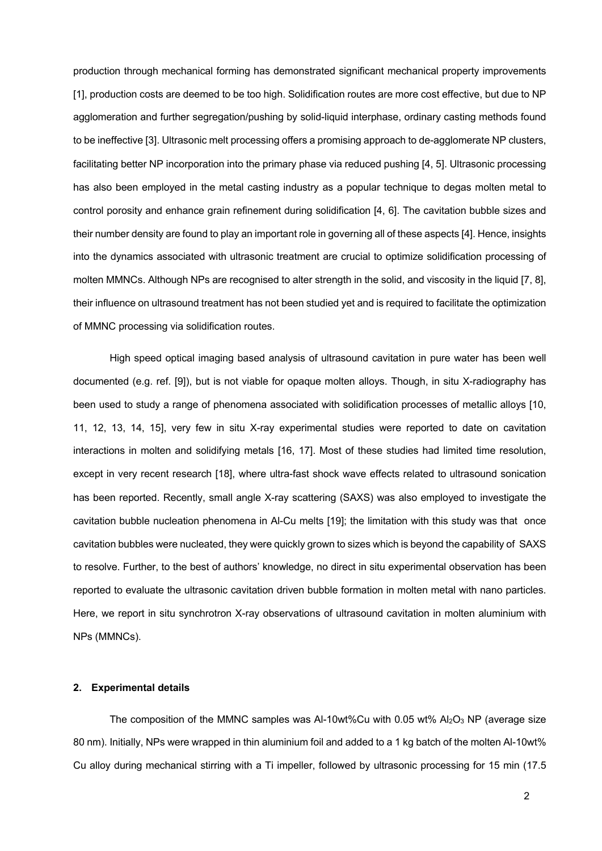production through mechanical forming has demonstrated significant mechanical property improvements [1], production costs are deemed to be too high. Solidification routes are more cost effective, but due to NP agglomeration and further segregation/pushing by solid-liquid interphase, ordinary casting methods found to be ineffective [3]. Ultrasonic melt processing offers a promising approach to de-agglomerate NP clusters, facilitating better NP incorporation into the primary phase via reduced pushing [4, 5]. Ultrasonic processing has also been employed in the metal casting industry as a popular technique to degas molten metal to control porosity and enhance grain refinement during solidification [4, 6]. The cavitation bubble sizes and their number density are found to play an important role in governing all of these aspects [4]. Hence, insights into the dynamics associated with ultrasonic treatment are crucial to optimize solidification processing of molten MMNCs. Although NPs are recognised to alter strength in the solid, and viscosity in the liquid [7, 8], their influence on ultrasound treatment has not been studied yet and is required to facilitate the optimization of MMNC processing via solidification routes.

High speed optical imaging based analysis of ultrasound cavitation in pure water has been well documented (e.g. ref. [9]), but is not viable for opaque molten alloys. Though, in situ X-radiography has been used to study a range of phenomena associated with solidification processes of metallic alloys [10, 11, 12, 13, 14, 15], very few in situ X-ray experimental studies were reported to date on cavitation interactions in molten and solidifying metals [16, 17]. Most of these studies had limited time resolution, except in very recent research [18], where ultra-fast shock wave effects related to ultrasound sonication has been reported. Recently, small angle X-ray scattering (SAXS) was also employed to investigate the cavitation bubble nucleation phenomena in Al-Cu melts [19]; the limitation with this study was that once cavitation bubbles were nucleated, they were quickly grown to sizes which is beyond the capability of SAXS to resolve. Further, to the best of authors' knowledge, no direct in situ experimental observation has been reported to evaluate the ultrasonic cavitation driven bubble formation in molten metal with nano particles. Here, we report in situ synchrotron X-ray observations of ultrasound cavitation in molten aluminium with NPs (MMNCs).

#### **2. Experimental details**

The composition of the MMNC samples was Al-10wt%Cu with  $0.05$  wt% Al<sub>2</sub>O<sub>3</sub> NP (average size 80 nm). Initially, NPs were wrapped in thin aluminium foil and added to a 1 kg batch of the molten Al-10wt% Cu alloy during mechanical stirring with a Ti impeller, followed by ultrasonic processing for 15 min (17.5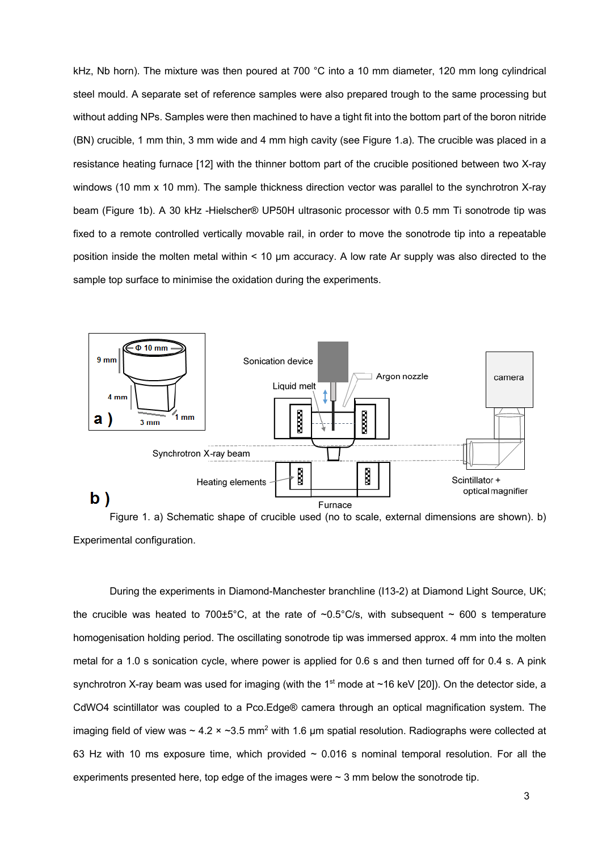kHz, Nb horn). The mixture was then poured at 700 °C into a 10 mm diameter, 120 mm long cylindrical steel mould. A separate set of reference samples were also prepared trough to the same processing but without adding NPs. Samples were then machined to have a tight fit into the bottom part of the boron nitride (BN) crucible, 1 mm thin, 3 mm wide and 4 mm high cavity (see Figure 1.a). The crucible was placed in a resistance heating furnace [12] with the thinner bottom part of the crucible positioned between two X-ray windows (10 mm x 10 mm). The sample thickness direction vector was parallel to the synchrotron X-ray beam (Figure 1b). A 30 kHz -Hielscher® UP50H ultrasonic processor with 0.5 mm Ti sonotrode tip was fixed to a remote controlled vertically movable rail, in order to move the sonotrode tip into a repeatable position inside the molten metal within < 10 µm accuracy. A low rate Ar supply was also directed to the sample top surface to minimise the oxidation during the experiments.



Figure 1. a) Schematic shape of crucible used (no to scale, external dimensions are shown). b) Experimental configuration.

During the experiments in Diamond-Manchester branchline (I13-2) at Diamond Light Source, UK; the crucible was heated to 700±5°C, at the rate of ~0.5°C/s, with subsequent ~ 600 s temperature homogenisation holding period. The oscillating sonotrode tip was immersed approx. 4 mm into the molten metal for a 1.0 s sonication cycle, where power is applied for 0.6 s and then turned off for 0.4 s. A pink synchrotron X-ray beam was used for imaging (with the 1<sup>st</sup> mode at  $\sim$ 16 keV [20]). On the detector side, a CdWO4 scintillator was coupled to a Pco.Edge® camera through an optical magnification system. The imaging field of view was  $\sim 4.2 \times -3.5$  mm<sup>2</sup> with 1.6 µm spatial resolution. Radiographs were collected at 63 Hz with 10 ms exposure time, which provided  $\sim$  0.016 s nominal temporal resolution. For all the experiments presented here, top edge of the images were  $\sim$  3 mm below the sonotrode tip.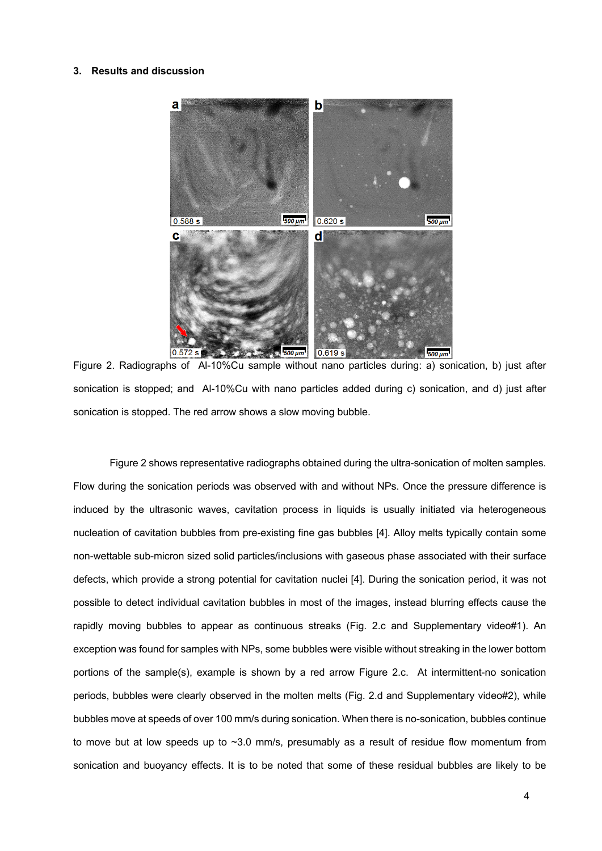### **3. Results and discussion**



Figure 2. Radiographs of Al-10%Cu sample without nano particles during: a) sonication, b) just after sonication is stopped; and Al-10%Cu with nano particles added during c) sonication, and d) just after sonication is stopped. The red arrow shows a slow moving bubble.

Figure 2 shows representative radiographs obtained during the ultra-sonication of molten samples. Flow during the sonication periods was observed with and without NPs. Once the pressure difference is induced by the ultrasonic waves, cavitation process in liquids is usually initiated via heterogeneous nucleation of cavitation bubbles from pre-existing fine gas bubbles [4]. Alloy melts typically contain some non-wettable sub-micron sized solid particles/inclusions with gaseous phase associated with their surface defects, which provide a strong potential for cavitation nuclei [4]. During the sonication period, it was not possible to detect individual cavitation bubbles in most of the images, instead blurring effects cause the rapidly moving bubbles to appear as continuous streaks (Fig. 2.c and Supplementary video#1). An exception was found for samples with NPs, some bubbles were visible without streaking in the lower bottom portions of the sample(s), example is shown by a red arrow Figure 2.c. At intermittent-no sonication periods, bubbles were clearly observed in the molten melts (Fig. 2.d and Supplementary video#2), while bubbles move at speeds of over 100 mm/s during sonication. When there is no-sonication, bubbles continue to move but at low speeds up to  $\sim$ 3.0 mm/s, presumably as a result of residue flow momentum from sonication and buoyancy effects. It is to be noted that some of these residual bubbles are likely to be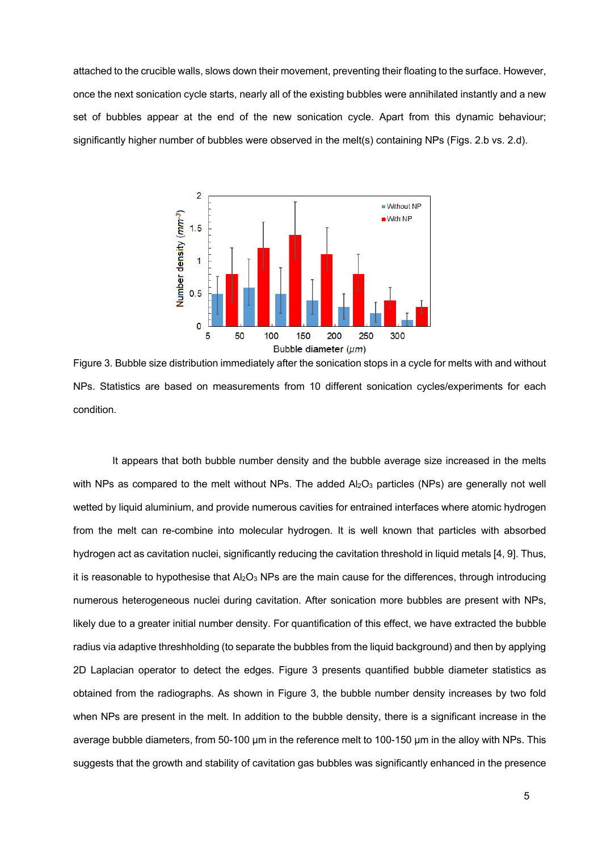attached to the crucible walls, slows down their movement, preventing their floating to the surface. However, once the next sonication cycle starts, nearly all of the existing bubbles were annihilated instantly and a new set of bubbles appear at the end of the new sonication cycle. Apart from this dynamic behaviour; significantly higher number of bubbles were observed in the melt(s) containing NPs (Figs. 2.b vs. 2.d).



Figure 3. Bubble size distribution immediately after the sonication stops in a cycle for melts with and without NPs. Statistics are based on measurements from 10 different sonication cycles/experiments for each condition.

It appears that both bubble number density and the bubble average size increased in the melts with NPs as compared to the melt without NPs. The added Al<sub>2</sub>O<sub>3</sub> particles (NPs) are generally not well wetted by liquid aluminium, and provide numerous cavities for entrained interfaces where atomic hydrogen from the melt can re-combine into molecular hydrogen. It is well known that particles with absorbed hydrogen act as cavitation nuclei, significantly reducing the cavitation threshold in liquid metals [4, 9]. Thus, it is reasonable to hypothesise that  $A_2O_3$  NPs are the main cause for the differences, through introducing numerous heterogeneous nuclei during cavitation. After sonication more bubbles are present with NPs, likely due to a greater initial number density. For quantification of this effect, we have extracted the bubble radius via adaptive threshholding (to separate the bubbles from the liquid background) and then by applying 2D Laplacian operator to detect the edges. Figure 3 presents quantified bubble diameter statistics as obtained from the radiographs. As shown in Figure 3, the bubble number density increases by two fold when NPs are present in the melt. In addition to the bubble density, there is a significant increase in the average bubble diameters, from 50-100 µm in the reference melt to 100-150 µm in the alloy with NPs. This suggests that the growth and stability of cavitation gas bubbles was significantly enhanced in the presence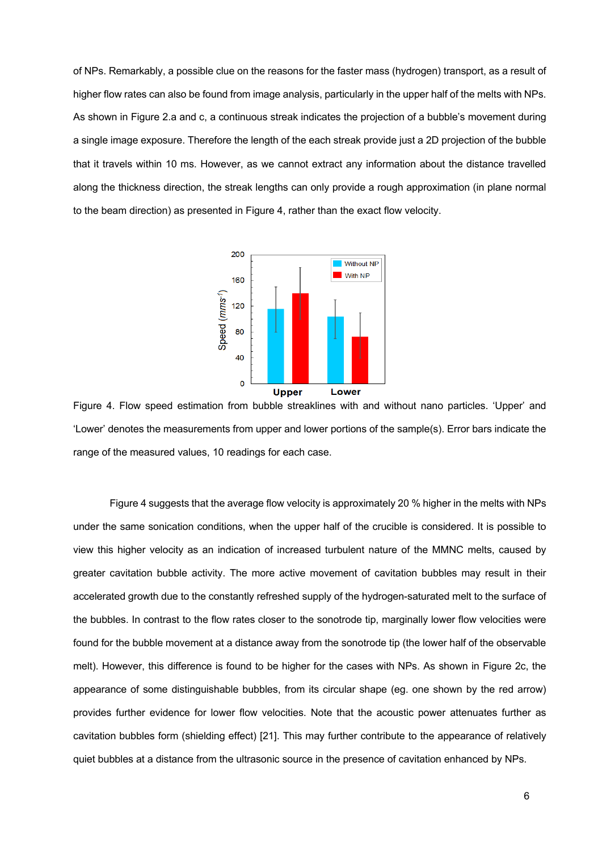of NPs. Remarkably, a possible clue on the reasons for the faster mass (hydrogen) transport, as a result of higher flow rates can also be found from image analysis, particularly in the upper half of the melts with NPs. As shown in Figure 2.a and c, a continuous streak indicates the projection of a bubble's movement during a single image exposure. Therefore the length of the each streak provide just a 2D projection of the bubble that it travels within 10 ms. However, as we cannot extract any information about the distance travelled along the thickness direction, the streak lengths can only provide a rough approximation (in plane normal to the beam direction) as presented in Figure 4, rather than the exact flow velocity.



Figure 4. Flow speed estimation from bubble streaklines with and without nano particles. 'Upper' and 'Lower' denotes the measurements from upper and lower portions of the sample(s). Error bars indicate the range of the measured values, 10 readings for each case.

Figure 4 suggests that the average flow velocity is approximately 20 % higher in the melts with NPs under the same sonication conditions, when the upper half of the crucible is considered. It is possible to view this higher velocity as an indication of increased turbulent nature of the MMNC melts, caused by greater cavitation bubble activity. The more active movement of cavitation bubbles may result in their accelerated growth due to the constantly refreshed supply of the hydrogen-saturated melt to the surface of the bubbles. In contrast to the flow rates closer to the sonotrode tip, marginally lower flow velocities were found for the bubble movement at a distance away from the sonotrode tip (the lower half of the observable melt). However, this difference is found to be higher for the cases with NPs. As shown in Figure 2c, the appearance of some distinguishable bubbles, from its circular shape (eg. one shown by the red arrow) provides further evidence for lower flow velocities. Note that the acoustic power attenuates further as cavitation bubbles form (shielding effect) [21]. This may further contribute to the appearance of relatively quiet bubbles at a distance from the ultrasonic source in the presence of cavitation enhanced by NPs.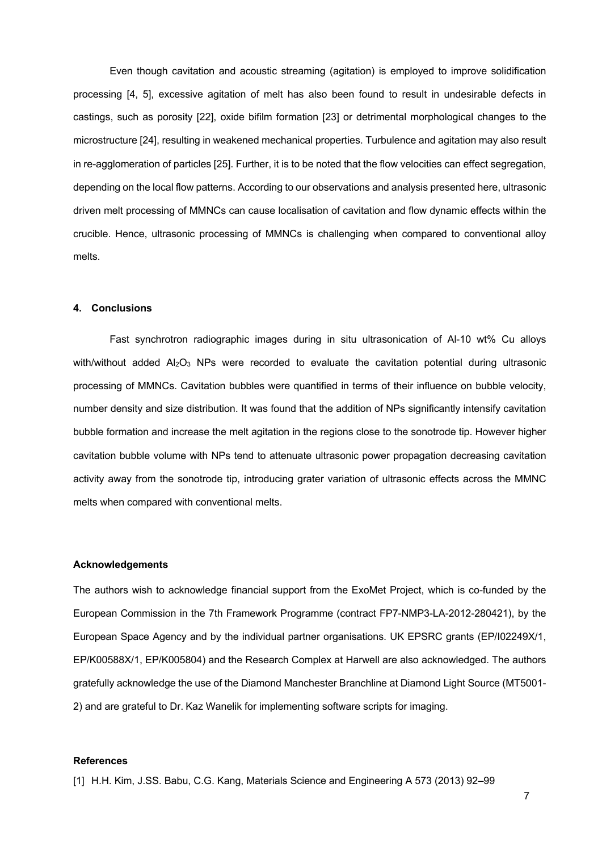Even though cavitation and acoustic streaming (agitation) is employed to improve solidification processing [4, 5], excessive agitation of melt has also been found to result in undesirable defects in castings, such as porosity [22], oxide bifilm formation [23] or detrimental morphological changes to the microstructure [24], resulting in weakened mechanical properties. Turbulence and agitation may also result in re-agglomeration of particles [25]. Further, it is to be noted that the flow velocities can effect segregation, depending on the local flow patterns. According to our observations and analysis presented here, ultrasonic driven melt processing of MMNCs can cause localisation of cavitation and flow dynamic effects within the crucible. Hence, ultrasonic processing of MMNCs is challenging when compared to conventional alloy melts.

#### **4. Conclusions**

Fast synchrotron radiographic images during in situ ultrasonication of Al-10 wt% Cu alloys with/without added Al<sub>2</sub>O<sub>3</sub> NPs were recorded to evaluate the cavitation potential during ultrasonic processing of MMNCs. Cavitation bubbles were quantified in terms of their influence on bubble velocity, number density and size distribution. It was found that the addition of NPs significantly intensify cavitation bubble formation and increase the melt agitation in the regions close to the sonotrode tip. However higher cavitation bubble volume with NPs tend to attenuate ultrasonic power propagation decreasing cavitation activity away from the sonotrode tip, introducing grater variation of ultrasonic effects across the MMNC melts when compared with conventional melts.

#### **Acknowledgements**

The authors wish to acknowledge financial support from the ExoMet Project, which is co-funded by the European Commission in the 7th Framework Programme (contract FP7-NMP3-LA-2012-280421), by the European Space Agency and by the individual partner organisations. UK EPSRC grants (EP/I02249X/1, EP/K00588X/1, EP/K005804) and the Research Complex at Harwell are also acknowledged. The authors gratefully acknowledge the use of the Diamond Manchester Branchline at Diamond Light Source (MT5001- 2) and are grateful to Dr. Kaz Wanelik for implementing software scripts for imaging.

#### **References**

[1] H.H. Kim, J.SS. Babu, C.G. Kang, Materials Science and Engineering A 573 (2013) 92–99